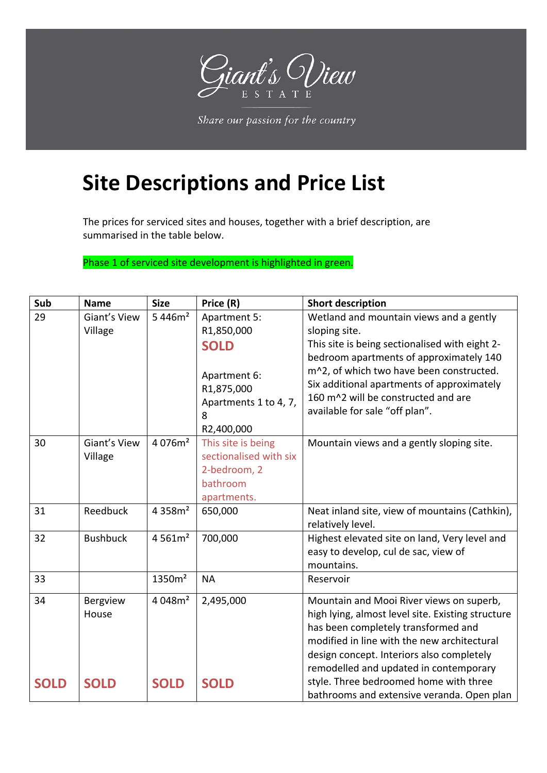

Share our passion for the country

## **Site Descriptions and Price List**

The prices for serviced sites and houses, together with a brief description, are summarised in the table below.

Phase 1 of serviced site development is highlighted in green.

| Sub         | <b>Name</b>     | <b>Size</b>         | Price (R)                                                              | <b>Short description</b>                                                                                                                                                                                   |
|-------------|-----------------|---------------------|------------------------------------------------------------------------|------------------------------------------------------------------------------------------------------------------------------------------------------------------------------------------------------------|
| 29          | Giant's View    | 5 446m <sup>2</sup> | Apartment 5:                                                           | Wetland and mountain views and a gently                                                                                                                                                                    |
|             | Village         |                     | R1,850,000                                                             | sloping site.                                                                                                                                                                                              |
|             |                 |                     | <b>SOLD</b>                                                            | This site is being sectionalised with eight 2-                                                                                                                                                             |
|             |                 |                     | Apartment 6:<br>R1,875,000<br>Apartments 1 to 4, 7,<br>8<br>R2,400,000 | bedroom apartments of approximately 140<br>m^2, of which two have been constructed.<br>Six additional apartments of approximately<br>160 m^2 will be constructed and are<br>available for sale "off plan". |
| 30          | Giant's View    | 4 076m <sup>2</sup> | This site is being                                                     | Mountain views and a gently sloping site.                                                                                                                                                                  |
|             | Village         |                     | sectionalised with six                                                 |                                                                                                                                                                                                            |
|             |                 |                     | 2-bedroom, 2                                                           |                                                                                                                                                                                                            |
|             |                 |                     | bathroom                                                               |                                                                                                                                                                                                            |
|             |                 |                     | apartments.                                                            |                                                                                                                                                                                                            |
| 31          | Reedbuck        | 4 358m <sup>2</sup> | 650,000                                                                | Neat inland site, view of mountains (Cathkin),                                                                                                                                                             |
|             |                 |                     |                                                                        | relatively level.                                                                                                                                                                                          |
| 32          | <b>Bushbuck</b> | 4 561m <sup>2</sup> | 700,000                                                                | Highest elevated site on land, Very level and                                                                                                                                                              |
|             |                 |                     |                                                                        | easy to develop, cul de sac, view of                                                                                                                                                                       |
|             |                 |                     |                                                                        | mountains.                                                                                                                                                                                                 |
| 33          |                 | 1350m <sup>2</sup>  | <b>NA</b>                                                              | Reservoir                                                                                                                                                                                                  |
| 34          | <b>Bergview</b> | 4048m <sup>2</sup>  | 2,495,000                                                              | Mountain and Mooi River views on superb,                                                                                                                                                                   |
|             | House           |                     |                                                                        | high lying, almost level site. Existing structure                                                                                                                                                          |
|             |                 |                     |                                                                        | has been completely transformed and                                                                                                                                                                        |
|             |                 |                     |                                                                        | modified in line with the new architectural                                                                                                                                                                |
|             |                 |                     |                                                                        | design concept. Interiors also completely                                                                                                                                                                  |
|             |                 |                     |                                                                        | remodelled and updated in contemporary                                                                                                                                                                     |
| <b>SOLD</b> | <b>SOLD</b>     | <b>SOLD</b>         | <b>SOLD</b>                                                            | style. Three bedroomed home with three                                                                                                                                                                     |
|             |                 |                     |                                                                        | bathrooms and extensive veranda. Open plan                                                                                                                                                                 |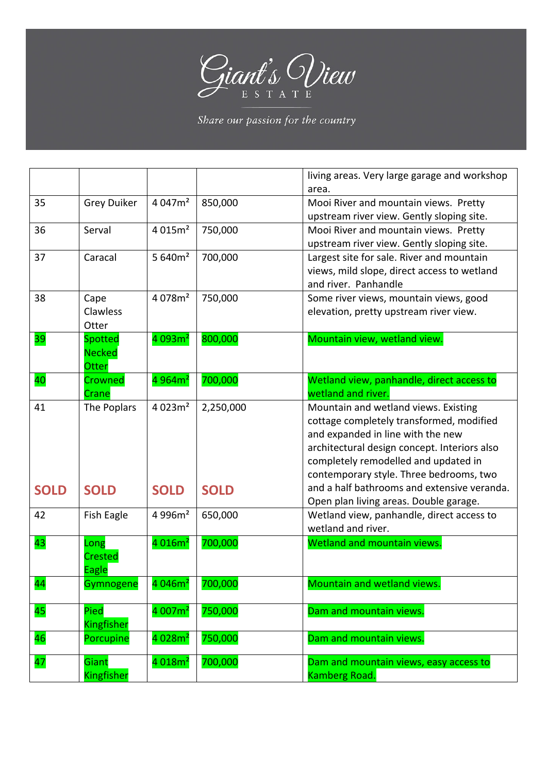

Share our passion for the country

|                          |                                                 |                     |             | living areas. Very large garage and workshop                                                                                                                                                                                                             |
|--------------------------|-------------------------------------------------|---------------------|-------------|----------------------------------------------------------------------------------------------------------------------------------------------------------------------------------------------------------------------------------------------------------|
| 35                       | <b>Grey Duiker</b>                              | 4 047m <sup>2</sup> | 850,000     | area.<br>Mooi River and mountain views. Pretty<br>upstream river view. Gently sloping site.                                                                                                                                                              |
| 36                       | Serval                                          | 4.015m <sup>2</sup> | 750,000     | Mooi River and mountain views. Pretty<br>upstream river view. Gently sloping site.                                                                                                                                                                       |
| 37                       | Caracal                                         | 5 $640m2$           | 700,000     | Largest site for sale. River and mountain<br>views, mild slope, direct access to wetland<br>and river. Panhandle                                                                                                                                         |
| 38                       | Cape<br>Clawless<br>Otter                       | 4 078m <sup>2</sup> | 750,000     | Some river views, mountain views, good<br>elevation, pretty upstream river view.                                                                                                                                                                         |
| 39                       | <b>Spotted</b><br><b>Necked</b><br><b>Otter</b> | 4093m <sup>2</sup>  | 800,000     | Mountain view, wetland view.                                                                                                                                                                                                                             |
| 40                       | Crowned<br>Crane                                | 4 964m <sup>2</sup> | 700,000     | Wetland view, panhandle, direct access to<br>wetland and river.                                                                                                                                                                                          |
| 41                       | The Poplars                                     | 4023m <sup>2</sup>  | 2,250,000   | Mountain and wetland views. Existing<br>cottage completely transformed, modified<br>and expanded in line with the new<br>architectural design concept. Interiors also<br>completely remodelled and updated in<br>contemporary style. Three bedrooms, two |
| <b>SOLD</b>              | <b>SOLD</b>                                     | <b>SOLD</b>         | <b>SOLD</b> | and a half bathrooms and extensive veranda.<br>Open plan living areas. Double garage.                                                                                                                                                                    |
| 42                       | Fish Eagle                                      | 4 996m <sup>2</sup> | 650,000     | Wetland view, panhandle, direct access to<br>wetland and river.                                                                                                                                                                                          |
| 43                       | Long<br><b>Crested</b><br><b>Eagle</b>          | 4016m <sup>2</sup>  | 700,000     | Wetland and mountain views.                                                                                                                                                                                                                              |
| 44                       | Gymnogene                                       | 4046m <sup>2</sup>  | 700,000     | Mountain and wetland views.                                                                                                                                                                                                                              |
| $\overline{\mathbf{45}}$ | Pied<br>Kingfisher                              | 4 007m <sup>2</sup> | 750,000     | Dam and mountain views.                                                                                                                                                                                                                                  |
| 46                       | Porcupine                                       | 4028m <sup>2</sup>  | 750,000     | Dam and mountain views.                                                                                                                                                                                                                                  |
| 47                       | Giant<br>Kingfisher                             | 4 018m <sup>2</sup> | 700,000     | Dam and mountain views, easy access to<br>Kamberg Road.                                                                                                                                                                                                  |